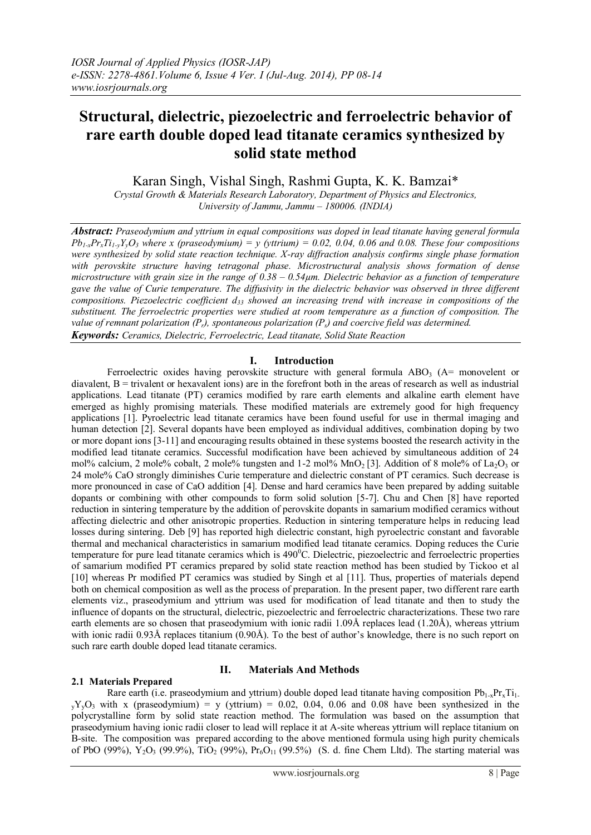# **Structural, dielectric, piezoelectric and ferroelectric behavior of rare earth double doped lead titanate ceramics synthesized by solid state method**

Karan Singh, Vishal Singh, Rashmi Gupta, K. K. Bamzai\*

*Crystal Growth & Materials Research Laboratory, Department of Physics and Electronics, University of Jammu, Jammu – 180006. (INDIA)*

*Abstract: Praseodymium and yttrium in equal compositions was doped in lead titanate having general formula*  $Pb_{1-x}Pr_xTi_{1-y}Y_vO_3$  where x (praseodymium) = y (yttrium) = 0.02, 0.04, 0.06 and 0.08. These four compositions *were synthesized by solid state reaction technique. X-ray diffraction analysis confirms single phase formation with perovskite structure having tetragonal phase. Microstructural analysis shows formation of dense microstructure with grain size in the range of 0.38 – 0.54µm. Dielectric behavior as a function of temperature gave the value of Curie temperature. The diffusivity in the dielectric behavior was observed in three different compositions. Piezoelectric coefficient d<sup>33</sup> showed an increasing trend with increase in compositions of the substituent. The ferroelectric properties were studied at room temperature as a function of composition. The value of remnant polarization (Pr), spontaneous polarization (Ps) and coercive field was determined. Keywords: Ceramics, Dielectric, Ferroelectric, Lead titanate, Solid State Reaction*

# **I. Introduction**

Ferroelectric oxides having perovskite structure with general formula  $ABO<sub>3</sub>$  (A= monovelent or diavalent,  $B =$  trivalent or hexavalent ions) are in the forefront both in the areas of research as well as industrial applications. Lead titanate (PT) ceramics modified by rare earth elements and alkaline earth element have emerged as highly promising materials. These modified materials are extremely good for high frequency applications [1]. Pyroelectric lead titanate ceramics have been found useful for use in thermal imaging and human detection [2]. Several dopants have been employed as individual additives, combination doping by two or more dopant ions [3-11] and encouraging results obtained in these systems boosted the research activity in the modified lead titanate ceramics. Successful modification have been achieved by simultaneous addition of 24 mol% calcium, 2 mole% cobalt, 2 mole% tungsten and  $1-2$  mol% MnO<sub>2</sub> [3]. Addition of 8 mole% of La<sub>2</sub>O<sub>3</sub> or 24 mole% CaO strongly diminishes Curie temperature and dielectric constant of PT ceramics. Such decrease is more pronounced in case of CaO addition [4]. Dense and hard ceramics have been prepared by adding suitable dopants or combining with other compounds to form solid solution [5-7]. Chu and Chen [8] have reported reduction in sintering temperature by the addition of perovskite dopants in samarium modified ceramics without affecting dielectric and other anisotropic properties. Reduction in sintering temperature helps in reducing lead losses during sintering. Deb [9] has reported high dielectric constant, high pyroelectric constant and favorable thermal and mechanical characteristics in samarium modified lead titanate ceramics. Doping reduces the Curie temperature for pure lead titanate ceramics which is 490<sup>o</sup>C. Dielectric, piezoelectric and ferroelectric properties of samarium modified PT ceramics prepared by solid state reaction method has been studied by Tickoo et al [10] whereas Pr modified PT ceramics was studied by Singh et al [11]. Thus, properties of materials depend both on chemical composition as well as the process of preparation. In the present paper, two different rare earth elements viz., praseodymium and yttrium was used for modification of lead titanate and then to study the influence of dopants on the structural, dielectric, piezoelectric and ferroelectric characterizations. These two rare earth elements are so chosen that praseodymium with ionic radii 1.09Å replaces lead (1.20Å), whereas yttrium with ionic radii 0.93Å replaces titanium (0.90Å). To the best of author's knowledge, there is no such report on such rare earth double doped lead titanate ceramics.

# **II. Materials And Methods**

# **2.1 Materials Prepared**

Rare earth (i.e. praseodymium and yttrium) double doped lead titanate having composition  $Pb_{1-x}Pr_xTi_1$  $yY_yO_3$  with x (praseodymium) = y (yttrium) = 0.02, 0.04, 0.06 and 0.08 have been synthesized in the polycrystalline form by solid state reaction method. The formulation was based on the assumption that praseodymium having ionic radii closer to lead will replace it at A-site whereas yttrium will replace titanium on B-site. The composition was prepared according to the above mentioned formula using high purity chemicals of PbO (99%), Y<sub>2</sub>O<sub>3</sub> (99.9%), TiO<sub>2</sub> (99%), Pr<sub>6</sub>O<sub>11</sub> (99.5%) (S. d. fine Chem Lltd). The starting material was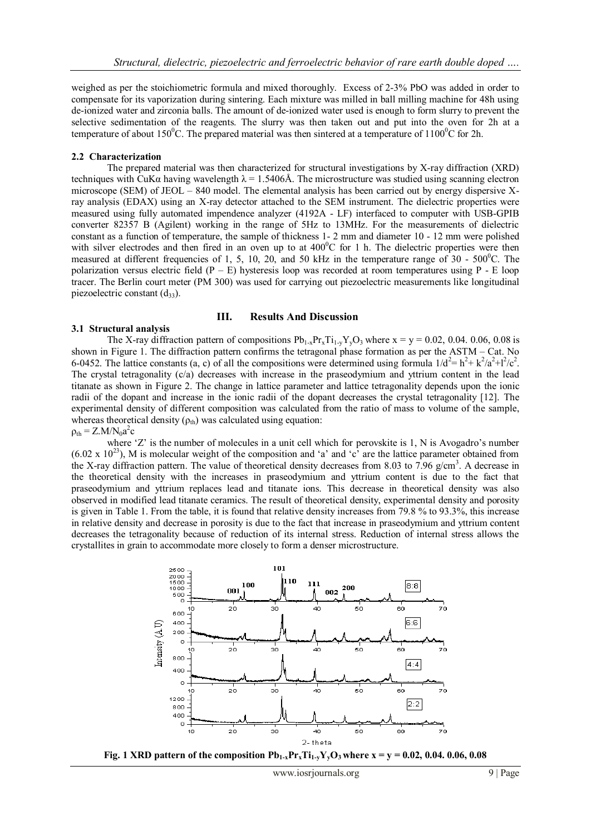weighed as per the stoichiometric formula and mixed thoroughly. Excess of 2-3% PbO was added in order to compensate for its vaporization during sintering. Each mixture was milled in ball milling machine for 48h using de-ionized water and zirconia balls. The amount of de-ionized water used is enough to form slurry to prevent the selective sedimentation of the reagents. The slurry was then taken out and put into the oven for 2h at a temperature of about  $150^{\circ}$ C. The prepared material was then sintered at a temperature of  $1100^{\circ}$ C for 2h.

#### **2.2 Characterization**

The prepared material was then characterized for structural investigations by X-ray diffraction (XRD) techniques with CuK $\alpha$  having wavelength  $\lambda = 1.5406\text{\AA}$ . The microstructure was studied using scanning electron microscope (SEM) of JEOL – 840 model. The elemental analysis has been carried out by energy dispersive Xray analysis (EDAX) using an X-ray detector attached to the SEM instrument. The dielectric properties were measured using fully automated impendence analyzer (4192A - LF) interfaced to computer with USB-GPIB converter 82357 B (Agilent) working in the range of 5Hz to 13MHz. For the measurements of dielectric constant as a function of temperature, the sample of thickness 1- 2 mm and diameter 10 - 12 mm were polished with silver electrodes and then fired in an oven up to at  $400^{\circ}$ C for 1 h. The dielectric properties were then measured at different frequencies of 1, 5, 10, 20, and 50 kHz in the temperature range of  $30 - 500^{\circ}$ C. The polarization versus electric field  $(P - E)$  hysteresis loop was recorded at room temperatures using P - E loop tracer. The Berlin court meter (PM 300) was used for carrying out piezoelectric measurements like longitudinal piezoelectric constant  $(d_{33})$ .

#### **III. Results And Discussion**

### **3.1 Structural analysis**

The X-ray diffraction pattern of compositions  $Pb_{1-x}Pr_xTi_{1-y}Y_yO_3$  where  $x = y = 0.02, 0.04, 0.06, 0.08$  is shown in Figure 1. The diffraction pattern confirms the tetragonal phase formation as per the ASTM – Cat. No 6-0452. The lattice constants (a, c) of all the compositions were determined using formula  $1/d^2 = h^2 + k^2/a^2 + l^2/c^2$ . The crystal tetragonality (c/a) decreases with increase in the praseodymium and yttrium content in the lead titanate as shown in Figure 2. The change in lattice parameter and lattice tetragonality depends upon the ionic radii of the dopant and increase in the ionic radii of the dopant decreases the crystal tetragonality [12]. The experimental density of different composition was calculated from the ratio of mass to volume of the sample, whereas theoretical density  $(\rho_{th})$  was calculated using equation:

 $\rho_{\text{th}} = Z.M/N_0 a^2 c$ 

where 'Z' is the number of molecules in a unit cell which for perovskite is 1, N is Avogadro's number  $(6.02 \times 10^{23})$ , M is molecular weight of the composition and 'a' and 'c' are the lattice parameter obtained from the X-ray diffraction pattern. The value of theoretical density decreases from 8.03 to 7.96  $g/cm<sup>3</sup>$ . A decrease in the theoretical density with the increases in praseodymium and yttrium content is due to the fact that praseodymium and yttrium replaces lead and titanate ions. This decrease in theoretical density was also observed in modified lead titanate ceramics. The result of theoretical density, experimental density and porosity is given in Table 1. From the table, it is found that relative density increases from 79.8 % to 93.3%, this increase in relative density and decrease in porosity is due to the fact that increase in praseodymium and yttrium content decreases the tetragonality because of reduction of its internal stress. Reduction of internal stress allows the crystallites in grain to accommodate more closely to form a denser microstructure.



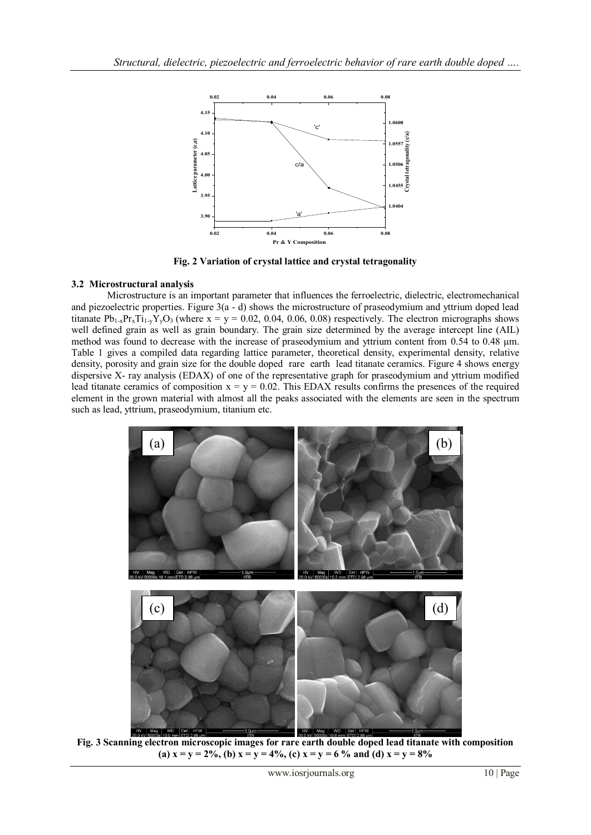

**Fig. 2 Variation of crystal lattice and crystal tetragonality**

# **3.2 Microstructural analysis**

Microstructure is an important parameter that influences the ferroelectric, dielectric, electromechanical and piezoelectric properties. Figure 3(a - d) shows the microstructure of praseodymium and yttrium doped lead titanate  $Pb_{1-x}Pr_xTi_{1-y}Y_yO_3$  (where  $x = y = 0.02, 0.04, 0.06, 0.08$ ) respectively. The electron micrographs shows well defined grain as well as grain boundary. The grain size determined by the average intercept line (AIL) method was found to decrease with the increase of praseodymium and yttrium content from 0.54 to 0.48  $\mu$ m. Table 1 gives a compiled data regarding lattice parameter, theoretical density, experimental density, relative density, porosity and grain size for the double doped rare earth lead titanate ceramics. Figure 4 shows energy dispersive X- ray analysis (EDAX) of one of the representative graph for praseodymium and yttrium modified lead titanate ceramics of composition  $x = y = 0.02$ . This EDAX results confirms the presences of the required element in the grown material with almost all the peaks associated with the elements are seen in the spectrum such as lead, yttrium, praseodymium, titanium etc.



**Fig. 3 Scanning electron microscopic images for rare earth double doped lead titanate with composition**  (a)  $x = y = 2\%$ , (b)  $x = y = 4\%$ , (c)  $x = y = 6\%$  and (d)  $x = y = 8\%$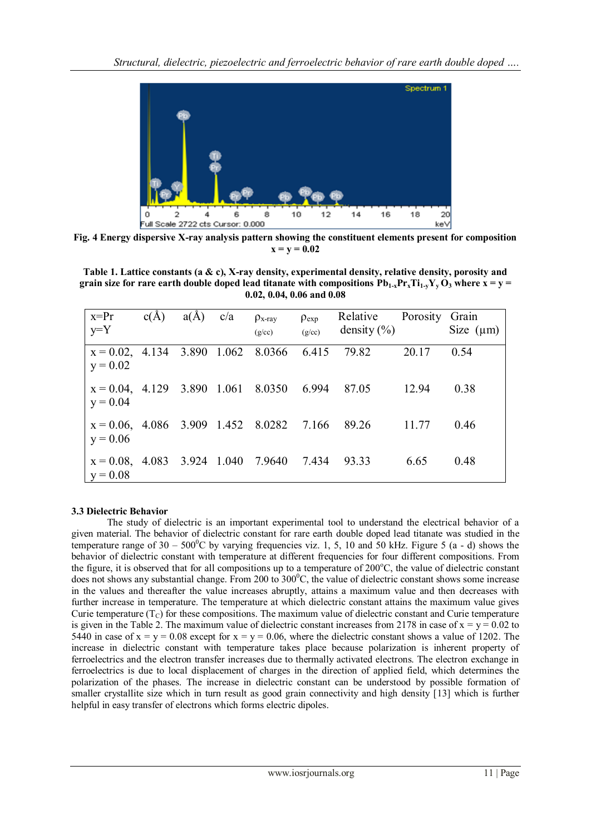

**Fig. 4 Energy dispersive X-ray analysis pattern showing the constituent elements present for composition**   $x = y = 0.02$ 

**Table 1. Lattice constants (a & c), X-ray density, experimental density, relative density, porosity and grain size for rare earth double doped lead titanate with compositions**  $Pb_{1-x}Pr_xTi_{1-x}Y_vO_3$  **where**  $x = y =$ **0.02, 0.04, 0.06 and 0.08**

| $x = Pr$<br>$y = Y$                                             | c(A) | $a(\AA)$ | c/a | $\rho_{x-ray}$<br>(g/cc) | $\rho_{\rm exp}$<br>(g/cc) | Relative<br>density $(\% )$ | Porosity Grain | Size $(\mu m)$ |
|-----------------------------------------------------------------|------|----------|-----|--------------------------|----------------------------|-----------------------------|----------------|----------------|
| $x = 0.02$ , 4.134 3.890 1.062 8.0366 6.415 79.82<br>$y = 0.02$ |      |          |     |                          |                            |                             | 20.17          | 0.54           |
| $x = 0.04$ , 4.129 3.890 1.061 8.0350 6.994<br>$y = 0.04$       |      |          |     |                          |                            | 87.05                       | 12.94          | 0.38           |
| $x = 0.06, 4.086, 3.909, 1.452, 8.0282, 7.166$<br>$y = 0.06$    |      |          |     |                          |                            | 89.26                       | 11.77          | 0.46           |
| $x = 0.08$ , 4.083 3.924 1.040 7.9640 7.434<br>$y = 0.08$       |      |          |     |                          |                            | 93.33                       | 6.65           | 0.48           |

# **3.3 Dielectric Behavior**

The study of dielectric is an important experimental tool to understand the electrical behavior of a given material. The behavior of dielectric constant for rare earth double doped lead titanate was studied in the temperature range of  $30 - 500^{\circ}\text{C}$  by varying frequencies viz. 1, 5, 10 and 50 kHz. Figure 5 (a - d) shows the behavior of dielectric constant with temperature at different frequencies for four different compositions. From the figure, it is observed that for all compositions up to a temperature of  $200^{\circ}$ C, the value of dielectric constant does not shows any substantial change. From 200 to 300°C, the value of dielectric constant shows some increase in the values and thereafter the value increases abruptly, attains a maximum value and then decreases with further increase in temperature. The temperature at which dielectric constant attains the maximum value gives Curie temperature  $(T_C)$  for these compositions. The maximum value of dielectric constant and Curie temperature is given in the Table 2. The maximum value of dielectric constant increases from 2178 in case of  $x = y = 0.02$  to 5440 in case of  $x = y = 0.08$  except for  $x = y = 0.06$ , where the dielectric constant shows a value of 1202. The increase in dielectric constant with temperature takes place because polarization is inherent property of ferroelectrics and the electron transfer increases due to thermally activated electrons. The electron exchange in ferroelectrics is due to local displacement of charges in the direction of applied field, which determines the polarization of the phases. The increase in dielectric constant can be understood by possible formation of smaller crystallite size which in turn result as good grain connectivity and high density [13] which is further helpful in easy transfer of electrons which forms electric dipoles.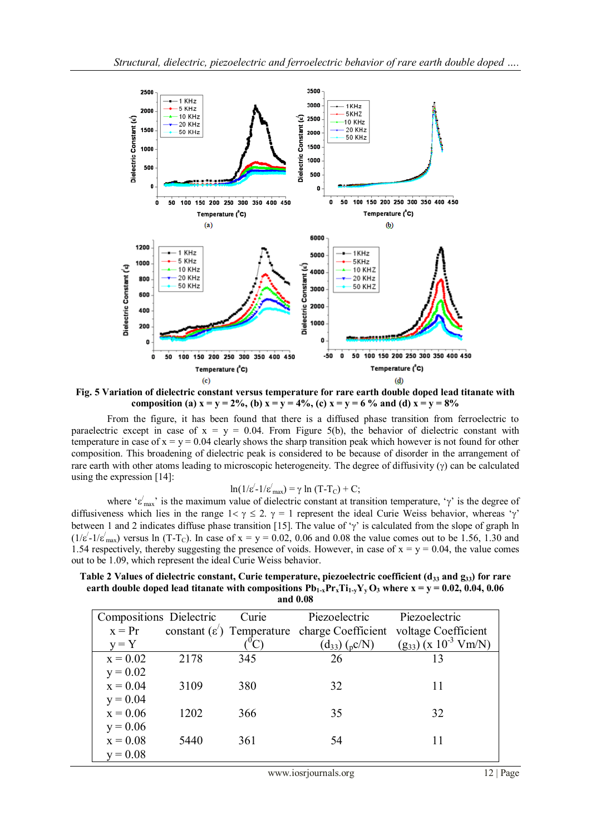

**Fig. 5 Variation of dielectric constant versus temperature for rare earth double doped lead titanate with composition (a)**  $x = y = 2\%$ , (b)  $x = y = 4\%$ , (c)  $x = y = 6\%$  and (d)  $x = y = 8\%$ 

From the figure, it has been found that there is a diffused phase transition from ferroelectric to paraelectric except in case of  $x = y = 0.04$ . From Figure 5(b), the behavior of dielectric constant with temperature in case of  $x = y = 0.04$  clearly shows the sharp transition peak which however is not found for other composition. This broadening of dielectric peak is considered to be because of disorder in the arrangement of rare earth with other atoms leading to microscopic heterogeneity. The degree of diffusivity  $(\gamma)$  can be calculated using the expression [14]:

$$
\ln(1/\varepsilon' - 1/\varepsilon'_{\text{max}}) = \gamma \ln(T - T_C) + C;
$$

where ' $\varepsilon'_{\text{max}}$ ' is the maximum value of dielectric constant at transition temperature, ' $\gamma$ ' is the degree of diffusiveness which lies in the range  $1 < \gamma \leq 2$ .  $\gamma = 1$  represent the ideal Curie Weiss behavior, whereas ' $\gamma$ ' between 1 and 2 indicates diffuse phase transition [15]. The value of ' $\gamma$ ' is calculated from the slope of graph ln  $(1/\varepsilon^2 - 1/\varepsilon^2)$  versus ln (T-T<sub>C</sub>). In case of x = y = 0.02, 0.06 and 0.08 the value comes out to be 1.56, 1.30 and 1.54 respectively, thereby suggesting the presence of voids. However, in case of  $x = y = 0.04$ , the value comes out to be 1.09, which represent the ideal Curie Weiss behavior.

**Table 2 Values of dielectric constant, Curie temperature, piezoelectric coefficient (d<sup>33</sup> and g33) for rare earth double doped lead titanate with compositions**  $Pb_1$ **<sub>x</sub>** $Pr_x$ **Ti<sub>1</sub>,** $Y_v$ **<b>O**<sub>3</sub> where  $x = y = 0.02, 0.04, 0.06$ **and 0.08**

| Compositions Dielectric |      | Curie | Piezoelectric                                            | Piezoelectric               |
|-------------------------|------|-------|----------------------------------------------------------|-----------------------------|
| $x = Pr$                |      |       | constant $(\varepsilon')$ Temperature charge Coefficient | voltage Coefficient         |
| $y = Y$                 |      |       | $(d_{33})$ (pC/N)                                        | $(g_{33}) (x 10^{-3} Vm/N)$ |
| $x = 0.02$              | 2178 | 345   | 26                                                       | 13                          |
| $y = 0.02$              |      |       |                                                          |                             |
| $x = 0.04$              | 3109 | 380   | 32                                                       | 11                          |
| $y = 0.04$              |      |       |                                                          |                             |
| $x = 0.06$              | 1202 | 366   | 35                                                       | 32                          |
| $y = 0.06$              |      |       |                                                          |                             |
| $x = 0.08$              | 5440 | 361   | 54                                                       |                             |
| $y = 0.08$              |      |       |                                                          |                             |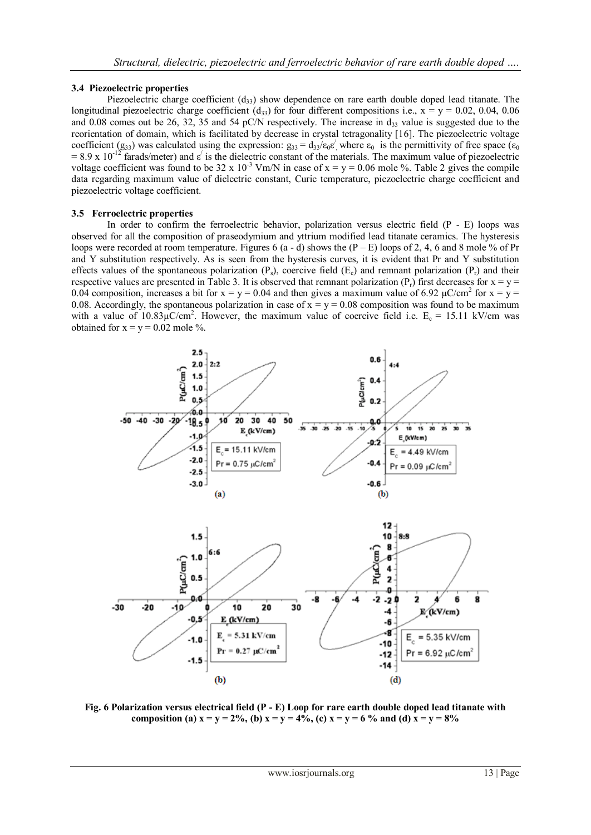# **3.4 Piezoelectric properties**

Piezoelectric charge coefficient  $(d_{33})$  show dependence on rare earth double doped lead titanate. The longitudinal piezoelectric charge coefficient (d<sub>33</sub>) for four different compositions i.e.,  $x = y = 0.02, 0.04, 0.06$ and 0.08 comes out be 26, 32, 35 and 54 pC/N respectively. The increase in  $d_{33}$  value is suggested due to the reorientation of domain, which is facilitated by decrease in crystal tetragonality [16]. The piezoelectric voltage coefficient (g<sub>33</sub>) was calculated using the expression:  $g_{33} = d_{33}/\epsilon_0 \epsilon'$ , where  $\epsilon_0$  is the permittivity of free space ( $\epsilon_0$  $= 8.9 \times 10^{-12}$  farads/meter) and  $\varepsilon'$  is the dielectric constant of the materials. The maximum value of piezoelectric voltage coefficient was found to be 32 x 10<sup>-3</sup> Vm/N in case of x = y = 0.06 mole %. Table 2 gives the compile data regarding maximum value of dielectric constant, Curie temperature, piezoelectric charge coefficient and piezoelectric voltage coefficient.

### **3.5 Ferroelectric properties**

In order to confirm the ferroelectric behavior, polarization versus electric field  $(P - E)$  loops was observed for all the composition of praseodymium and yttrium modified lead titanate ceramics. The hysteresis loops were recorded at room temperature. Figures 6 (a - d) shows the  $(P - E)$  loops of 2, 4, 6 and 8 mole % of Pr and Y substitution respectively. As is seen from the hysteresis curves, it is evident that Pr and Y substitution effects values of the spontaneous polarization  $(P_s)$ , coercive field  $(E_c)$  and remnant polarization  $(P_r)$  and their respective values are presented in Table 3. It is observed that remnant polarization  $(P_r)$  first decreases for  $x = y =$ 0.04 composition, increases a bit for  $x = y = 0.04$  and then gives a maximum value of 6.92  $\mu$ C/cm<sup>2</sup> for  $x = y =$ 0.08. Accordingly, the spontaneous polarization in case of  $x = y = 0.08$  composition was found to be maximum with a value of  $10.83\mu$ C/cm<sup>2</sup>. However, the maximum value of coercive field i.e.  $E_c = 15.11$  kV/cm was obtained for  $x = y = 0.02$  mole %.



**Fig. 6 Polarization versus electrical field (P - E) Loop for rare earth double doped lead titanate with**  composition (a)  $x = y = 2\%$ , (b)  $x = y = 4\%$ , (c)  $x = y = 6\%$  and (d)  $x = y = 8\%$